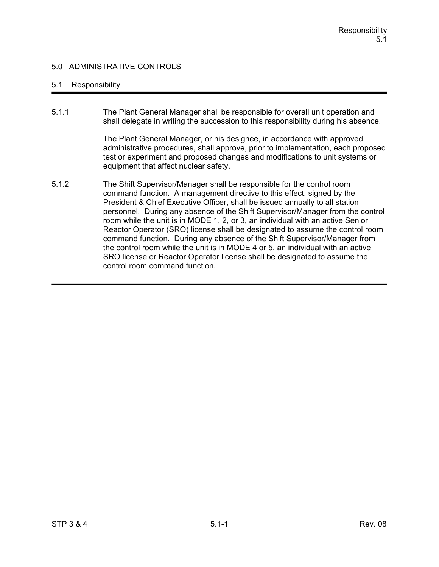### 5.1 Responsibility

5.1.1 The Plant General Manager shall be responsible for overall unit operation and shall delegate in writing the succession to this responsibility during his absence.

> The Plant General Manager, or his designee, in accordance with approved administrative procedures, shall approve, prior to implementation, each proposed test or experiment and proposed changes and modifications to unit systems or equipment that affect nuclear safety.

5.1.2 The Shift Supervisor/Manager shall be responsible for the control room command function. A management directive to this effect, signed by the President & Chief Executive Officer, shall be issued annually to all station personnel. During any absence of the Shift Supervisor/Manager from the control room while the unit is in MODE 1, 2, or 3, an individual with an active Senior Reactor Operator (SRO) license shall be designated to assume the control room command function. During any absence of the Shift Supervisor/Manager from the control room while the unit is in MODE 4 or 5, an individual with an active SRO license or Reactor Operator license shall be designated to assume the control room command function.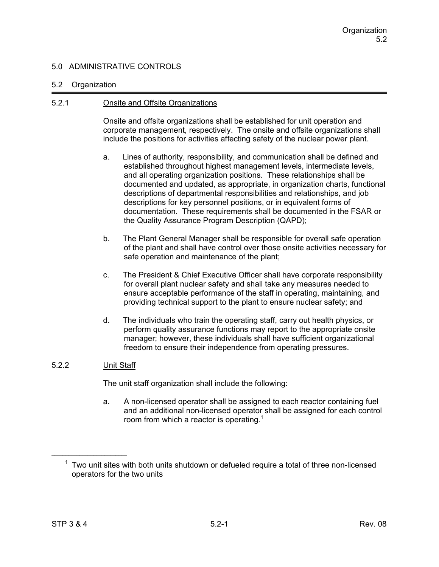#### 5.2 Organization

#### 5.2.1 Onsite and Offsite Organizations

Onsite and offsite organizations shall be established for unit operation and corporate management, respectively. The onsite and offsite organizations shall include the positions for activities affecting safety of the nuclear power plant.

- a. Lines of authority, responsibility, and communication shall be defined and established throughout highest management levels, intermediate levels, and all operating organization positions. These relationships shall be documented and updated, as appropriate, in organization charts, functional descriptions of departmental responsibilities and relationships, and job descriptions for key personnel positions, or in equivalent forms of documentation. These requirements shall be documented in the FSAR or the Quality Assurance Program Description (QAPD);
- b. The Plant General Manager shall be responsible for overall safe operation of the plant and shall have control over those onsite activities necessary for safe operation and maintenance of the plant;
- c. The President & Chief Executive Officer shall have corporate responsibility for overall plant nuclear safety and shall take any measures needed to ensure acceptable performance of the staff in operating, maintaining, and providing technical support to the plant to ensure nuclear safety; and
- d. The individuals who train the operating staff, carry out health physics, or perform quality assurance functions may report to the appropriate onsite manager; however, these individuals shall have sufficient organizational freedom to ensure their independence from operating pressures.

## 5.2.2 Unit Staff

The unit staff organization shall include the following:

a. A non-licensed operator shall be assigned to each reactor containing fuel and an additional non-licensed operator shall be assigned for each control room from which a reactor is operating.<sup>1</sup>

 $1$  Two unit sites with both units shutdown or defueled require a total of three non-licensed operators for the two units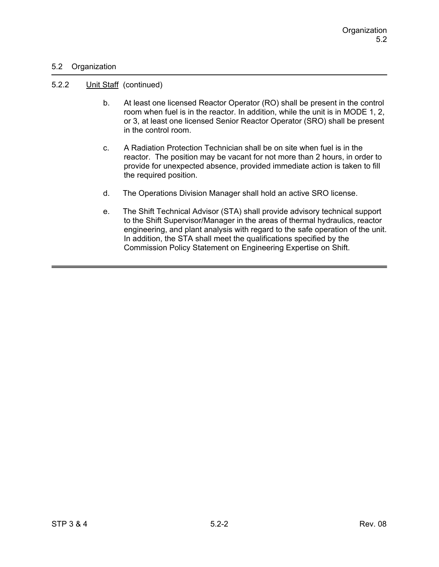### 5.2 Organization

#### 5.2.2 Unit Staff (continued)

- b. At least one licensed Reactor Operator (RO) shall be present in the control room when fuel is in the reactor. In addition, while the unit is in MODE 1, 2, or 3, at least one licensed Senior Reactor Operator (SRO) shall be present in the control room.
- c. A Radiation Protection Technician shall be on site when fuel is in the reactor. The position may be vacant for not more than 2 hours, in order to provide for unexpected absence, provided immediate action is taken to fill the required position.
- d. The Operations Division Manager shall hold an active SRO license.
- e. The Shift Technical Advisor (STA) shall provide advisory technical support to the Shift Supervisor/Manager in the areas of thermal hydraulics, reactor engineering, and plant analysis with regard to the safe operation of the unit. In addition, the STA shall meet the qualifications specified by the Commission Policy Statement on Engineering Expertise on Shift.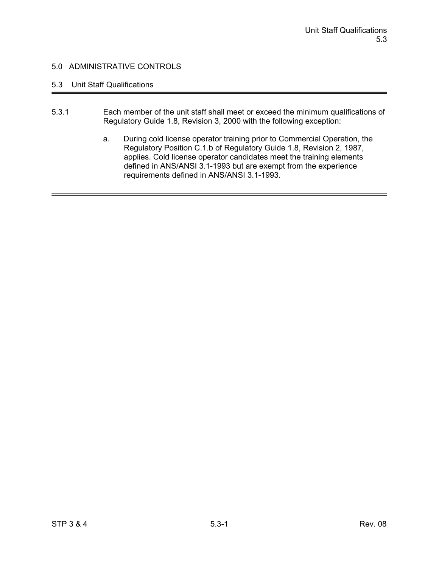# 5.3 Unit Staff Qualifications

- 5.3.1 Each member of the unit staff shall meet or exceed the minimum qualifications of Regulatory Guide 1.8, Revision 3, 2000 with the following exception:
	- a. During cold license operator training prior to Commercial Operation, the Regulatory Position C.1.b of Regulatory Guide 1.8, Revision 2, 1987, applies. Cold license operator candidates meet the training elements defined in ANS/ANSI 3.1-1993 but are exempt from the experience requirements defined in ANS/ANSI 3.1-1993.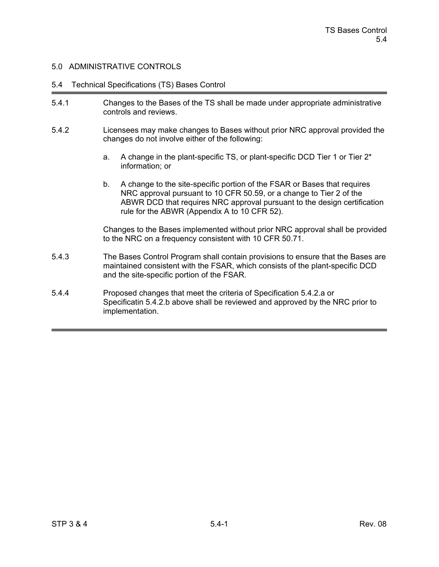#### 5.4 Technical Specifications (TS) Bases Control

- 5.4.1 Changes to the Bases of the TS shall be made under appropriate administrative controls and reviews.
- 5.4.2 Licensees may make changes to Bases without prior NRC approval provided the changes do not involve either of the following:
	- a. A change in the plant-specific TS, or plant-specific DCD Tier 1 or Tier 2\* information; or
	- b. A change to the site-specific portion of the FSAR or Bases that requires NRC approval pursuant to 10 CFR 50.59, or a change to Tier 2 of the ABWR DCD that requires NRC approval pursuant to the design certification rule for the ABWR (Appendix A to 10 CFR 52).

Changes to the Bases implemented without prior NRC approval shall be provided to the NRC on a frequency consistent with 10 CFR 50.71.

- 5.4.3 The Bases Control Program shall contain provisions to ensure that the Bases are maintained consistent with the FSAR, which consists of the plant-specific DCD and the site-specific portion of the FSAR.
- 5.4.4 Proposed changes that meet the criteria of Specification 5.4.2.a or Specificatin 5.4.2.b above shall be reviewed and approved by the NRC prior to implementation.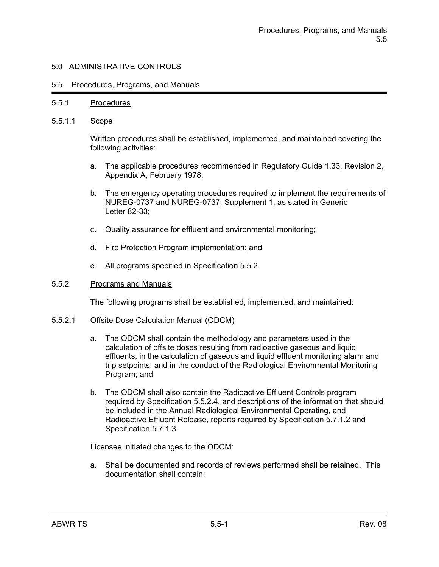#### 5.5 Procedures, Programs, and Manuals

#### 5.5.1 Procedures

5.5.1.1 Scope

Written procedures shall be established, implemented, and maintained covering the following activities:

- a. The applicable procedures recommended in Regulatory Guide 1.33, Revision 2, Appendix A, February 1978;
- b. The emergency operating procedures required to implement the requirements of NUREG-0737 and NUREG-0737, Supplement 1, as stated in Generic Letter 82-33;
- c. Quality assurance for effluent and environmental monitoring;
- d. Fire Protection Program implementation; and
- e. All programs specified in Specification 5.5.2.

#### 5.5.2 Programs and Manuals

The following programs shall be established, implemented, and maintained:

- 5.5.2.1 Offsite Dose Calculation Manual (ODCM)
	- a. The ODCM shall contain the methodology and parameters used in the calculation of offsite doses resulting from radioactive gaseous and liquid effluents, in the calculation of gaseous and liquid effluent monitoring alarm and trip setpoints, and in the conduct of the Radiological Environmental Monitoring Program; and
	- b. The ODCM shall also contain the Radioactive Effluent Controls program required by Specification 5.5.2.4, and descriptions of the information that should be included in the Annual Radiological Environmental Operating, and Radioactive Effluent Release, reports required by Specification 5.7.1.2 and Specification 5.7.1.3.

Licensee initiated changes to the ODCM:

a. Shall be documented and records of reviews performed shall be retained. This documentation shall contain: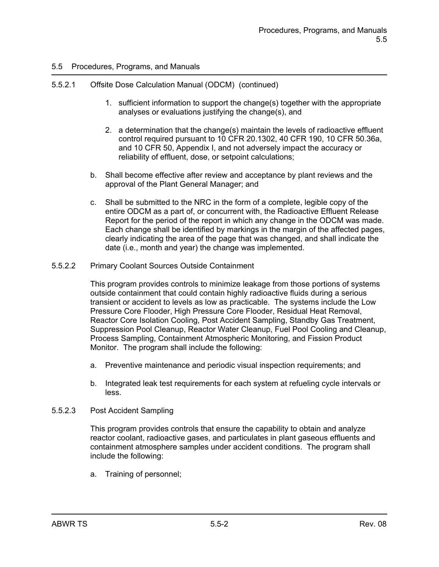## 5.5.2.1 Offsite Dose Calculation Manual (ODCM) (continued)

- 1. sufficient information to support the change(s) together with the appropriate analyses or evaluations justifying the change(s), and
- 2. a determination that the change(s) maintain the levels of radioactive effluent control required pursuant to 10 CFR 20.1302, 40 CFR 190, 10 CFR 50.36a, and 10 CFR 50, Appendix I, and not adversely impact the accuracy or reliability of effluent, dose, or setpoint calculations;
- b. Shall become effective after review and acceptance by plant reviews and the approval of the Plant General Manager; and
- c. Shall be submitted to the NRC in the form of a complete, legible copy of the entire ODCM as a part of, or concurrent with, the Radioactive Effluent Release Report for the period of the report in which any change in the ODCM was made. Each change shall be identified by markings in the margin of the affected pages, clearly indicating the area of the page that was changed, and shall indicate the date (i.e., month and year) the change was implemented.
- 5.5.2.2 Primary Coolant Sources Outside Containment

This program provides controls to minimize leakage from those portions of systems outside containment that could contain highly radioactive fluids during a serious transient or accident to levels as low as practicable. The systems include the Low Pressure Core Flooder, High Pressure Core Flooder, Residual Heat Removal, Reactor Core Isolation Cooling, Post Accident Sampling, Standby Gas Treatment, Suppression Pool Cleanup, Reactor Water Cleanup, Fuel Pool Cooling and Cleanup, Process Sampling, Containment Atmospheric Monitoring, and Fission Product Monitor. The program shall include the following:

- a. Preventive maintenance and periodic visual inspection requirements; and
- b. Integrated leak test requirements for each system at refueling cycle intervals or less.
- 5.5.2.3 Post Accident Sampling

This program provides controls that ensure the capability to obtain and analyze reactor coolant, radioactive gases, and particulates in plant gaseous effluents and containment atmosphere samples under accident conditions. The program shall include the following:

a. Training of personnel;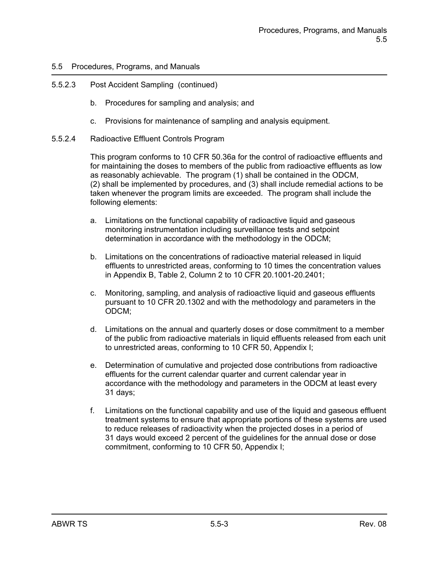## 5.5.2.3 Post Accident Sampling (continued)

- b. Procedures for sampling and analysis; and
- c. Provisions for maintenance of sampling and analysis equipment.
- 5.5.2.4 Radioactive Effluent Controls Program

This program conforms to 10 CFR 50.36a for the control of radioactive effluents and for maintaining the doses to members of the public from radioactive effluents as low as reasonably achievable. The program (1) shall be contained in the ODCM, (2) shall be implemented by procedures, and (3) shall include remedial actions to be taken whenever the program limits are exceeded. The program shall include the following elements:

- a. Limitations on the functional capability of radioactive liquid and gaseous monitoring instrumentation including surveillance tests and setpoint determination in accordance with the methodology in the ODCM;
- b. Limitations on the concentrations of radioactive material released in liquid effluents to unrestricted areas, conforming to 10 times the concentration values in Appendix B, Table 2, Column 2 to 10 CFR 20.1001-20.2401;
- c. Monitoring, sampling, and analysis of radioactive liquid and gaseous effluents pursuant to 10 CFR 20.1302 and with the methodology and parameters in the ODCM;
- d. Limitations on the annual and quarterly doses or dose commitment to a member of the public from radioactive materials in liquid effluents released from each unit to unrestricted areas, conforming to 10 CFR 50, Appendix I;
- e. Determination of cumulative and projected dose contributions from radioactive effluents for the current calendar quarter and current calendar year in accordance with the methodology and parameters in the ODCM at least every 31 days;
- f. Limitations on the functional capability and use of the liquid and gaseous effluent treatment systems to ensure that appropriate portions of these systems are used to reduce releases of radioactivity when the projected doses in a period of 31 days would exceed 2 percent of the guidelines for the annual dose or dose commitment, conforming to 10 CFR 50, Appendix I;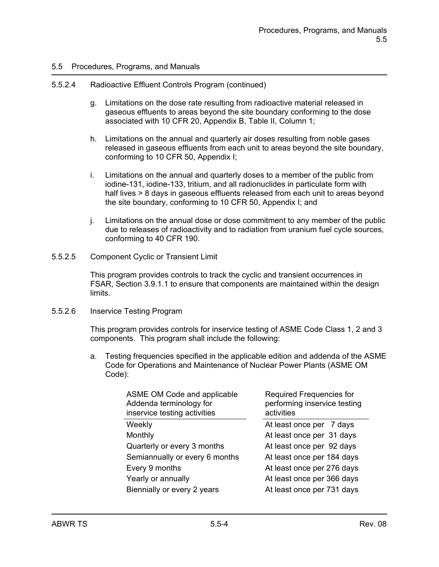#### 5.5.2.4 Radioactive Effluent Controls Program (continued)

- g. Limitations on the dose rate resulting from radioactive material released in gaseous effluents to areas beyond the site boundary conforming to the dose associated with 10 CFR 20, Appendix B, Table II, Column 1;
- h. Limitations on the annual and quarterly air doses resulting from noble gases released in gaseous effluents from each unit to areas beyond the site boundary, conforming to 10 CFR 50, Appendix I;
- i. Limitations on the annual and quarterly doses to a member of the public from iodine-131, iodine-133, tritium, and all radionuclides in particulate form with half lives > 8 days in gaseous effluents released from each unit to areas beyond the site boundary, conforming to 10 CFR 50, Appendix I; and
- j. Limitations on the annual dose or dose commitment to any member of the public due to releases of radioactivity and to radiation from uranium fuel cycle sources, conforming to 40 CFR 190.
- 5.5.2.5 Component Cyclic or Transient Limit

This program provides controls to track the cyclic and transient occurrences in FSAR, Section 3.9.1.1 to ensure that components are maintained within the design limits.

#### 5.5.2.6 Inservice Testing Program

This program provides controls for inservice testing of ASME Code Class 1, 2 and 3 components. This program shall include the following:

a. Testing frequencies specified in the applicable edition and addenda of the ASME Code for Operations and Maintenance of Nuclear Power Plants (ASME OM Code):

| ASME OM Code and applicable<br>Addenda terminology for<br>inservice testing activities | Required Frequencies for<br>performing inservice testing<br>activities |
|----------------------------------------------------------------------------------------|------------------------------------------------------------------------|
| Weekly                                                                                 | At least once per 7 days                                               |
| Monthly                                                                                | At least once per 31 days                                              |
| Quarterly or every 3 months                                                            | At least once per 92 days                                              |
| Semiannually or every 6 months                                                         | At least once per 184 days                                             |
| Every 9 months                                                                         | At least once per 276 days                                             |
| Yearly or annually                                                                     | At least once per 366 days                                             |
| Biennially or every 2 years                                                            | At least once per 731 days                                             |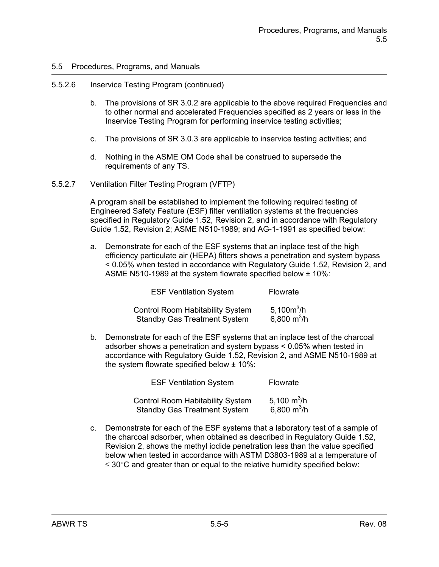#### 5.5.2.6 Inservice Testing Program (continued)

- b. The provisions of SR 3.0.2 are applicable to the above required Frequencies and to other normal and accelerated Frequencies specified as 2 years or less in the Inservice Testing Program for performing inservice testing activities;
- c. The provisions of SR 3.0.3 are applicable to inservice testing activities; and
- d. Nothing in the ASME OM Code shall be construed to supersede the requirements of any TS.
- 5.5.2.7 Ventilation Filter Testing Program (VFTP)

A program shall be established to implement the following required testing of Engineered Safety Feature (ESF) filter ventilation systems at the frequencies specified in Regulatory Guide 1.52, Revision 2, and in accordance with Regulatory Guide 1.52, Revision 2; ASME N510-1989; and AG-1-1991 as specified below:

a. Demonstrate for each of the ESF systems that an inplace test of the high efficiency particulate air (HEPA) filters shows a penetration and system bypass < 0.05% when tested in accordance with Regulatory Guide 1.52, Revision 2, and ASME N510-1989 at the system flowrate specified below ± 10%:

| <b>ESF Ventilation System</b>           | Flowrate      |
|-----------------------------------------|---------------|
| <b>Control Room Habitability System</b> | 5,100 $m^3/h$ |
| <b>Standby Gas Treatment System</b>     | 6,800 $m^3/h$ |

b. Demonstrate for each of the ESF systems that an inplace test of the charcoal adsorber shows a penetration and system bypass < 0.05% when tested in accordance with Regulatory Guide 1.52, Revision 2, and ASME N510-1989 at the system flowrate specified below ± 10%:

| <b>ESF Ventilation System</b>                                                  | Flowrate                       |
|--------------------------------------------------------------------------------|--------------------------------|
| <b>Control Room Habitability System</b><br><b>Standby Gas Treatment System</b> | 5,100 $m^3/h$<br>6,800 $m^3/h$ |

c. Demonstrate for each of the ESF systems that a laboratory test of a sample of the charcoal adsorber, when obtained as described in Regulatory Guide 1.52, Revision 2, shows the methyl iodide penetration less than the value specified below when tested in accordance with ASTM D3803-1989 at a temperature of  $\leq$  30 $\degree$ C and greater than or equal to the relative humidity specified below: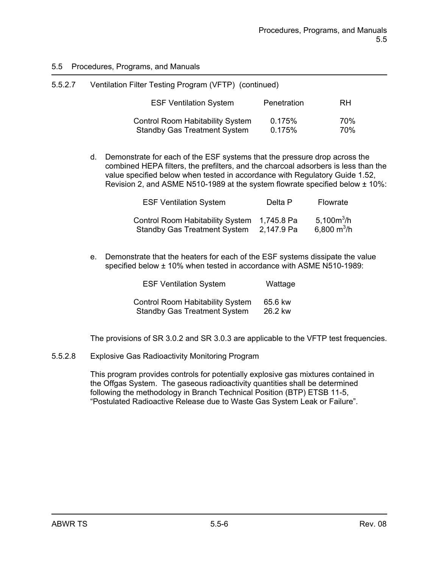| 5.5.2.7 | Ventilation Filter Testing Program (VFTP) (continued)                          |                  |            |
|---------|--------------------------------------------------------------------------------|------------------|------------|
|         | <b>ESF Ventilation System</b>                                                  | Penetration      | <b>RH</b>  |
|         | <b>Control Room Habitability System</b><br><b>Standby Gas Treatment System</b> | 0.175%<br>0.175% | 70%<br>70% |

d. Demonstrate for each of the ESF systems that the pressure drop across the combined HEPA filters, the prefilters, and the charcoal adsorbers is less than the value specified below when tested in accordance with Regulatory Guide 1.52, Revision 2, and ASME N510-1989 at the system flowrate specified below  $\pm$  10%:

| <b>ESF Ventilation System</b>                                                      | Delta P    | Flowrate                       |
|------------------------------------------------------------------------------------|------------|--------------------------------|
| Control Room Habitability System 1,745.8 Pa<br><b>Standby Gas Treatment System</b> | 2,147.9 Pa | 5.100 $m^3/h$<br>6,800 $m^3/h$ |

e. Demonstrate that the heaters for each of the ESF systems dissipate the value specified below ± 10% when tested in accordance with ASME N510-1989:

| <b>ESF Ventilation System</b>           | Wattage |
|-----------------------------------------|---------|
| <b>Control Room Habitability System</b> | 65.6 kw |
| <b>Standby Gas Treatment System</b>     | 26.2 kw |

The provisions of SR 3.0.2 and SR 3.0.3 are applicable to the VFTP test frequencies.

5.5.2.8 Explosive Gas Radioactivity Monitoring Program

This program provides controls for potentially explosive gas mixtures contained in the Offgas System. The gaseous radioactivity quantities shall be determined following the methodology in Branch Technical Position (BTP) ETSB 11-5, "Postulated Radioactive Release due to Waste Gas System Leak or Failure".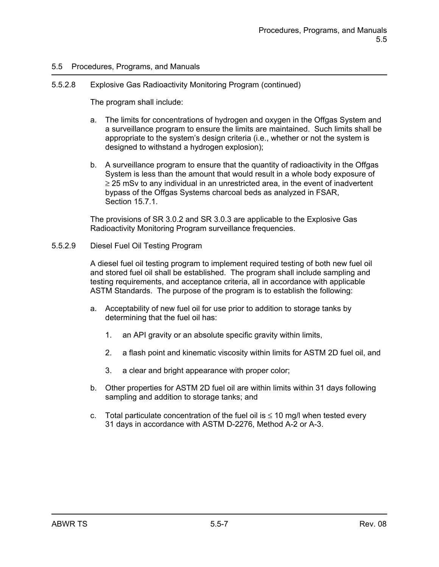#### 5.5.2.8 Explosive Gas Radioactivity Monitoring Program (continued)

The program shall include:

- a. The limits for concentrations of hydrogen and oxygen in the Offgas System and a surveillance program to ensure the limits are maintained. Such limits shall be appropriate to the system's design criteria (i.e., whether or not the system is designed to withstand a hydrogen explosion);
- b. A surveillance program to ensure that the quantity of radioactivity in the Offgas System is less than the amount that would result in a whole body exposure of  $\geq$  25 mSv to any individual in an unrestricted area, in the event of inadvertent bypass of the Offgas Systems charcoal beds as analyzed in FSAR, Section 15.7.1.

The provisions of SR 3.0.2 and SR 3.0.3 are applicable to the Explosive Gas Radioactivity Monitoring Program surveillance frequencies.

#### 5.5.2.9 Diesel Fuel Oil Testing Program

A diesel fuel oil testing program to implement required testing of both new fuel oil and stored fuel oil shall be established. The program shall include sampling and testing requirements, and acceptance criteria, all in accordance with applicable ASTM Standards. The purpose of the program is to establish the following:

- a. Acceptability of new fuel oil for use prior to addition to storage tanks by determining that the fuel oil has:
	- 1. an API gravity or an absolute specific gravity within limits,
	- 2. a flash point and kinematic viscosity within limits for ASTM 2D fuel oil, and
	- 3. a clear and bright appearance with proper color;
- b. Other properties for ASTM 2D fuel oil are within limits within 31 days following sampling and addition to storage tanks; and
- c. Total particulate concentration of the fuel oil is  $\leq 10$  mg/l when tested every 31 days in accordance with ASTM D-2276, Method A-2 or A-3.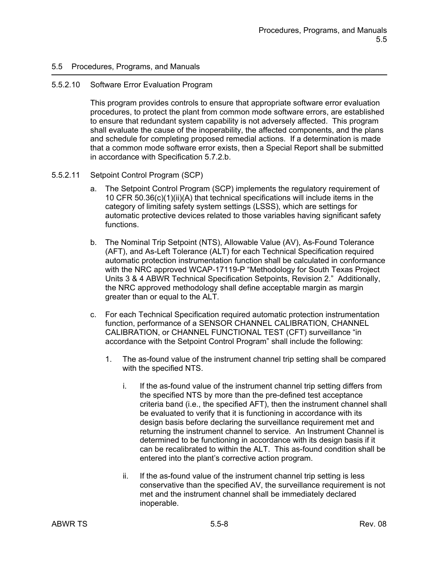#### 5.5.2.10 Software Error Evaluation Program

This program provides controls to ensure that appropriate software error evaluation procedures, to protect the plant from common mode software errors, are established to ensure that redundant system capability is not adversely affected. This program shall evaluate the cause of the inoperability, the affected components, and the plans and schedule for completing proposed remedial actions. If a determination is made that a common mode software error exists, then a Special Report shall be submitted in accordance with Specification 5.7.2.b.

#### 5.5.2.11 Setpoint Control Program (SCP)

- a. The Setpoint Control Program (SCP) implements the regulatory requirement of 10 CFR 50.36(c)(1)(ii)(A) that technical specifications will include items in the category of limiting safety system settings (LSSS), which are settings for automatic protective devices related to those variables having significant safety functions.
- b. The Nominal Trip Setpoint (NTS), Allowable Value (AV), As-Found Tolerance (AFT), and As-Left Tolerance (ALT) for each Technical Specification required automatic protection instrumentation function shall be calculated in conformance with the NRC approved WCAP-17119-P "Methodology for South Texas Project Units 3 & 4 ABWR Technical Specification Setpoints, Revision 2." Additionally, the NRC approved methodology shall define acceptable margin as margin greater than or equal to the ALT.
- c. For each Technical Specification required automatic protection instrumentation function, performance of a SENSOR CHANNEL CALIBRATION, CHANNEL CALIBRATION, or CHANNEL FUNCTIONAL TEST (CFT) surveillance "in accordance with the Setpoint Control Program" shall include the following:
	- 1. The as-found value of the instrument channel trip setting shall be compared with the specified NTS.
		- i. If the as-found value of the instrument channel trip setting differs from the specified NTS by more than the pre-defined test acceptance criteria band (i.e., the specified AFT), then the instrument channel shall be evaluated to verify that it is functioning in accordance with its design basis before declaring the surveillance requirement met and returning the instrument channel to service. An Instrument Channel is determined to be functioning in accordance with its design basis if it can be recalibrated to within the ALT. This as-found condition shall be entered into the plant's corrective action program.
		- ii. If the as-found value of the instrument channel trip setting is less conservative than the specified AV, the surveillance requirement is not met and the instrument channel shall be immediately declared inoperable.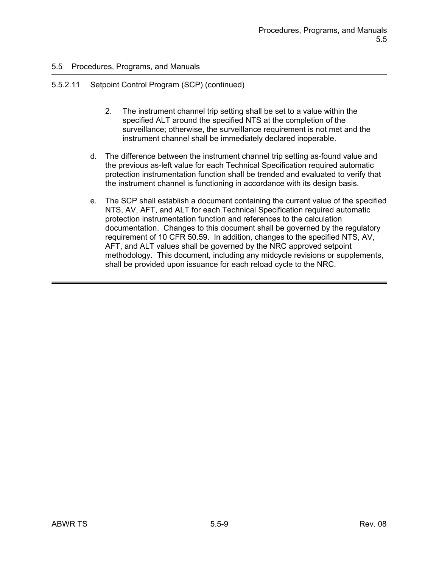## 5.5.2.11 Setpoint Control Program (SCP) (continued)

- 2. The instrument channel trip setting shall be set to a value within the specified ALT around the specified NTS at the completion of the surveillance; otherwise, the surveillance requirement is not met and the instrument channel shall be immediately declared inoperable.
- d. The difference between the instrument channel trip setting as-found value and the previous as-left value for each Technical Specification required automatic protection instrumentation function shall be trended and evaluated to verify that the instrument channel is functioning in accordance with its design basis.
- e. The SCP shall establish a document containing the current value of the specified NTS, AV, AFT, and ALT for each Technical Specification required automatic protection instrumentation function and references to the calculation documentation. Changes to this document shall be governed by the regulatory requirement of 10 CFR 50.59. In addition, changes to the specified NTS, AV, AFT, and ALT values shall be governed by the NRC approved setpoint methodology. This document, including any midcycle revisions or supplements, shall be provided upon issuance for each reload cycle to the NRC.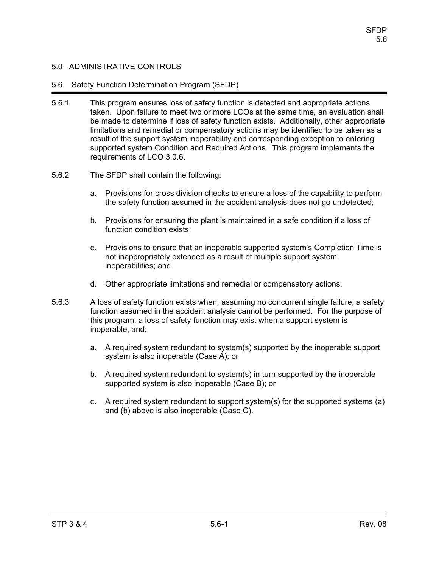### 5.6 Safety Function Determination Program (SFDP)

- 5.6.1 This program ensures loss of safety function is detected and appropriate actions taken. Upon failure to meet two or more LCOs at the same time, an evaluation shall be made to determine if loss of safety function exists. Additionally, other appropriate limitations and remedial or compensatory actions may be identified to be taken as a result of the support system inoperability and corresponding exception to entering supported system Condition and Required Actions. This program implements the requirements of LCO 3.0.6.
- 5.6.2 The SFDP shall contain the following:
	- a. Provisions for cross division checks to ensure a loss of the capability to perform the safety function assumed in the accident analysis does not go undetected;
	- b. Provisions for ensuring the plant is maintained in a safe condition if a loss of function condition exists;
	- c. Provisions to ensure that an inoperable supported system's Completion Time is not inappropriately extended as a result of multiple support system inoperabilities; and
	- d. Other appropriate limitations and remedial or compensatory actions.
- 5.6.3 A loss of safety function exists when, assuming no concurrent single failure, a safety function assumed in the accident analysis cannot be performed. For the purpose of this program, a loss of safety function may exist when a support system is inoperable, and:
	- a. A required system redundant to system(s) supported by the inoperable support system is also inoperable (Case A); or
	- b. A required system redundant to system(s) in turn supported by the inoperable supported system is also inoperable (Case B); or
	- c. A required system redundant to support system(s) for the supported systems (a) and (b) above is also inoperable (Case C).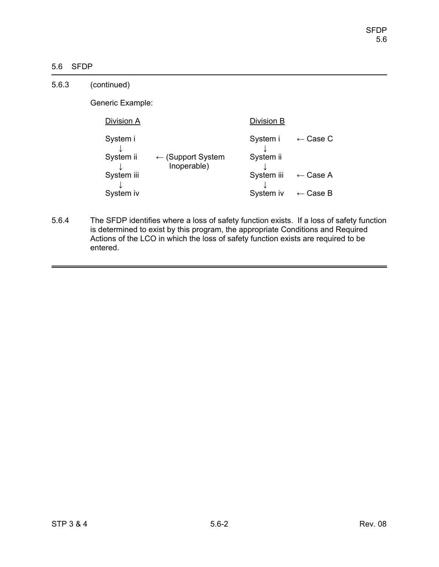# 5.6 SFDP

| 5.6.3 | (continued)           |                                             |                       |                     |
|-------|-----------------------|---------------------------------------------|-----------------------|---------------------|
|       | Generic Example:      |                                             |                       |                     |
|       | Division A            |                                             | Division B            |                     |
|       | System i<br>System ii | $\leftarrow$ (Support System<br>Inoperable) | System i<br>System ii | $\leftarrow$ Case C |
|       | System iii            |                                             | System iii            | $\leftarrow$ Case A |
|       | System iv             |                                             | System iv             | $\leftarrow$ Case B |

5.6.4 The SFDP identifies where a loss of safety function exists. If a loss of safety function is determined to exist by this program, the appropriate Conditions and Required Actions of the LCO in which the loss of safety function exists are required to be entered.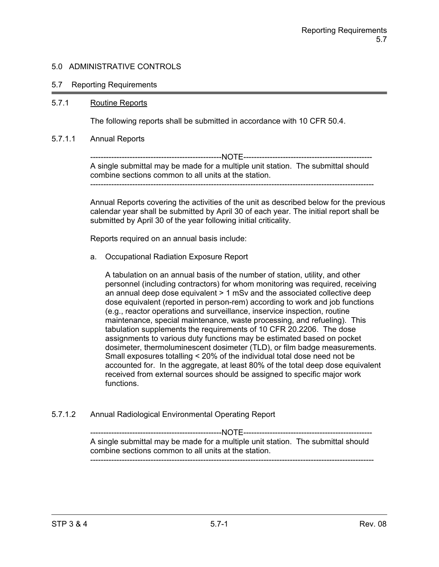### 5.7 Reporting Requirements

#### 5.7.1 Routine Reports

The following reports shall be submitted in accordance with 10 CFR 50.4.

#### 5.7.1.1 Annual Reports

--------------------------------------------------NOTE------------------------------------------------- A single submittal may be made for a multiple unit station. The submittal should combine sections common to all units at the station. ------------------------------------------------------------------------------------------------------------

Annual Reports covering the activities of the unit as described below for the previous calendar year shall be submitted by April 30 of each year. The initial report shall be submitted by April 30 of the year following initial criticality.

Reports required on an annual basis include:

a. Occupational Radiation Exposure Report

A tabulation on an annual basis of the number of station, utility, and other personnel (including contractors) for whom monitoring was required, receiving an annual deep dose equivalent > 1 mSv and the associated collective deep dose equivalent (reported in person-rem) according to work and job functions (e.g., reactor operations and surveillance, inservice inspection, routine maintenance, special maintenance, waste processing, and refueling). This tabulation supplements the requirements of 10 CFR 20.2206. The dose assignments to various duty functions may be estimated based on pocket dosimeter, thermoluminescent dosimeter (TLD), or film badge measurements. Small exposures totalling < 20% of the individual total dose need not be accounted for. In the aggregate, at least 80% of the total deep dose equivalent received from external sources should be assigned to specific major work functions.

5.7.1.2 Annual Radiological Environmental Operating Report

--------------------------------------------------NOTE------------------------------------------------- A single submittal may be made for a multiple unit station. The submittal should combine sections common to all units at the station. ------------------------------------------------------------------------------------------------------------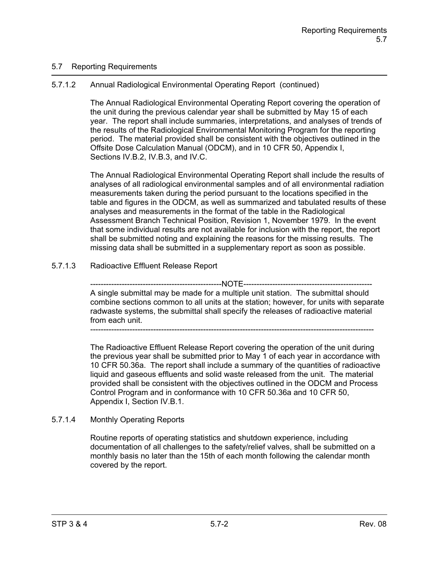## 5.7 Reporting Requirements

# 5.7.1.2 Annual Radiological Environmental Operating Report (continued)

The Annual Radiological Environmental Operating Report covering the operation of the unit during the previous calendar year shall be submitted by May 15 of each year. The report shall include summaries, interpretations, and analyses of trends of the results of the Radiological Environmental Monitoring Program for the reporting period. The material provided shall be consistent with the objectives outlined in the Offsite Dose Calculation Manual (ODCM), and in 10 CFR 50, Appendix I, Sections IV.B.2, IV.B.3, and IV.C.

The Annual Radiological Environmental Operating Report shall include the results of analyses of all radiological environmental samples and of all environmental radiation measurements taken during the period pursuant to the locations specified in the table and figures in the ODCM, as well as summarized and tabulated results of these analyses and measurements in the format of the table in the Radiological Assessment Branch Technical Position, Revision 1, November 1979. In the event that some individual results are not available for inclusion with the report, the report shall be submitted noting and explaining the reasons for the missing results. The missing data shall be submitted in a supplementary report as soon as possible.

# 5.7.1.3 Radioactive Effluent Release Report

-------------NOTE-------------A single submittal may be made for a multiple unit station. The submittal should combine sections common to all units at the station; however, for units with separate radwaste systems, the submittal shall specify the releases of radioactive material from each unit.

------------------------------------------------------------------------------------------------------------

The Radioactive Effluent Release Report covering the operation of the unit during the previous year shall be submitted prior to May 1 of each year in accordance with 10 CFR 50.36a. The report shall include a summary of the quantities of radioactive liquid and gaseous effluents and solid waste released from the unit. The material provided shall be consistent with the objectives outlined in the ODCM and Process Control Program and in conformance with 10 CFR 50.36a and 10 CFR 50, Appendix I, Section IV.B.1.

## 5.7.1.4 Monthly Operating Reports

Routine reports of operating statistics and shutdown experience, including documentation of all challenges to the safety/relief valves, shall be submitted on a monthly basis no later than the 15th of each month following the calendar month covered by the report.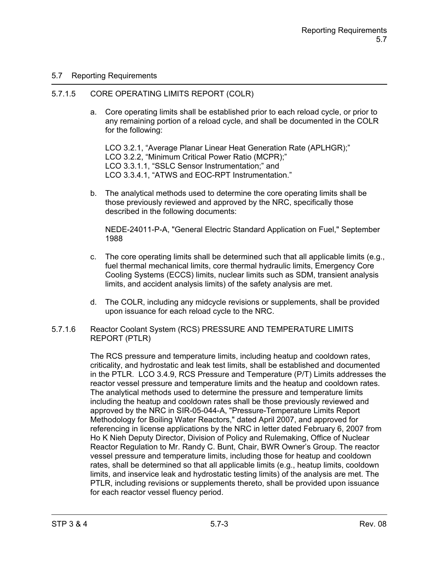## 5.7 Reporting Requirements

### 5.7.1.5 CORE OPERATING LIMITS REPORT (COLR)

a. Core operating limits shall be established prior to each reload cycle, or prior to any remaining portion of a reload cycle, and shall be documented in the COLR for the following:

LCO 3.2.1, "Average Planar Linear Heat Generation Rate (APLHGR);" LCO 3.2.2, "Minimum Critical Power Ratio (MCPR);" LCO 3.3.1.1, "SSLC Sensor Instrumentation;" and LCO 3.3.4.1, "ATWS and EOC-RPT Instrumentation."

b. The analytical methods used to determine the core operating limits shall be those previously reviewed and approved by the NRC, specifically those described in the following documents:

NEDE-24011-P-A, "General Electric Standard Application on Fuel," September 1988

- c. The core operating limits shall be determined such that all applicable limits (e.g., fuel thermal mechanical limits, core thermal hydraulic limits, Emergency Core Cooling Systems (ECCS) limits, nuclear limits such as SDM, transient analysis limits, and accident analysis limits) of the safety analysis are met.
- d. The COLR, including any midcycle revisions or supplements, shall be provided upon issuance for each reload cycle to the NRC.
- 5.7.1.6 Reactor Coolant System (RCS) PRESSURE AND TEMPERATURE LIMITS REPORT (PTLR)

The RCS pressure and temperature limits, including heatup and cooldown rates, criticality, and hydrostatic and leak test limits, shall be established and documented in the PTLR. LCO 3.4.9, RCS Pressure and Temperature (P/T) Limits addresses the reactor vessel pressure and temperature limits and the heatup and cooldown rates. The analytical methods used to determine the pressure and temperature limits including the heatup and cooldown rates shall be those previously reviewed and approved by the NRC in SIR-05-044-A, "Pressure-Temperature Limits Report Methodology for Boiling Water Reactors," dated April 2007, and approved for referencing in license applications by the NRC in letter dated February 6, 2007 from Ho K Nieh Deputy Director, Division of Policy and Rulemaking, Office of Nuclear Reactor Regulation to Mr. Randy C. Bunt, Chair, BWR Owner's Group. The reactor vessel pressure and temperature limits, including those for heatup and cooldown rates, shall be determined so that all applicable limits (e.g., heatup limits, cooldown limits, and inservice leak and hydrostatic testing limits) of the analysis are met. The PTLR, including revisions or supplements thereto, shall be provided upon issuance for each reactor vessel fluency period.